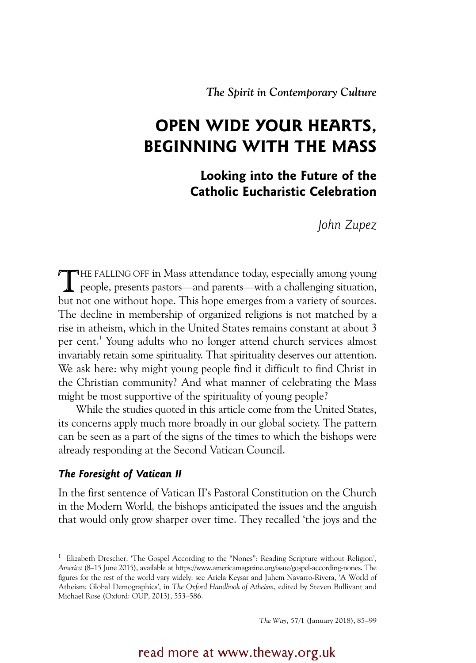*The Spirit in Contemporary Culture* 

# **OPEN WIDE YOUR HEARTS, BEGINNING WITH THE MASS**

**Looking into the Future of the Catholic Eucharistic Celebration**

*John Zupez*

THE FALLING OFF in Mass attendance today, especially among young<br>people, presents pastors—and parents—with a challenging situation, people, presents pastors—and parents—with a challenging situation, but not one without hope. This hope emerges from a variety of sources. The decline in membership of organized religions is not matched by a rise in atheism, which in the United States remains constant at about 3 per cent.<sup>1</sup> Young adults who no longer attend church services almost invariably retain some spirituality. That spirituality deserves our attention. We ask here: why might young people find it difficult to find Christ in the Christian community? And what manner of celebrating the Mass might be most supportive of the spirituality of young people?

While the studies quoted in this article come from the United States, its concerns apply much more broadly in our global society. The pattern can be seen as a part of the signs of the times to which the bishops were already responding at the Second Vatican Council.

# *The Foresight of Vatican II*

In the first sentence of Vatican II's Pastoral Constitution on the Church in the Modern World*,* the bishops anticipated the issues and the anguish that would only grow sharper over time. They recalled 'the joys and the

*The Way*, 57/1 (January 2018), 85–99

read more at www.theway.org.uk

<sup>&</sup>lt;sup>1</sup> Elizabeth Drescher, 'The Gospel According to the "Nones": Reading Scripture without Religion', *America* (8–15 June 2015), available at https://www.americamagazine.org/issue/gospel-according-nones. The figures for the rest of the world vary widely: see Ariela Keysar and Juhem Navarro-Rivera, 'A World of Atheism: Global Demographics', in *The Oxford Handbook of Atheism*, edited by Steven Bullivant and Michael Rose (Oxford: OUP, 2013), 553–586.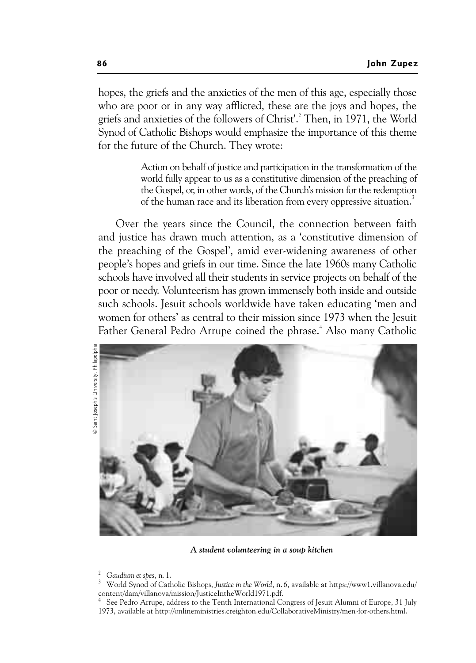hopes, the griefs and the anxieties of the men of this age, especially those who are poor or in any way afflicted, these are the joys and hopes, the griefs and anxieties of the followers of Christ'.2 Then, in 1971, the World Synod of Catholic Bishops would emphasize the importance of this theme for the future of the Church. They wrote:

> Action on behalf of justice and participation in the transformation of the world fully appear to us as a constitutive dimension of the preaching of the Gospel, or, in other words, of the Church's mission for the redemption of the human race and its liberation from every oppressive situation.<sup>3</sup>

Over the years since the Council, the connection between faith and justice has drawn much attention, as a 'constitutive dimension of the preaching of the Gospel', amid ever-widening awareness of other people's hopes and griefs in our time. Since the late 1960s many Catholic schools have involved all their students in service projects on behalf of the poor or needy. Volunteerism has grown immensely both inside and outside such schools. Jesuit schools worldwide have taken educating 'men and women for others' as central to their mission since 1973 when the Jesuit Father General Pedro Arrupe coined the phrase.<sup>4</sup> Also many Catholic



*A student volunteering in a soup kitchen* 

<sup>2</sup> Gaudium et spes, n. 1.

World Synod of Catholic Bishops, *Justice in the World*, n. 6, available at https://www1.villanova.edu/ content/dam/villanova/mission/JusticeIntheWorld1971.pdf.

<sup>4</sup> See Pedro Arrupe, address to the Tenth International Congress of Jesuit Alumni of Europe, 31 July 1973, available at http://onlineministries.creighton.edu/CollaborativeMinistry/men-for-others.html.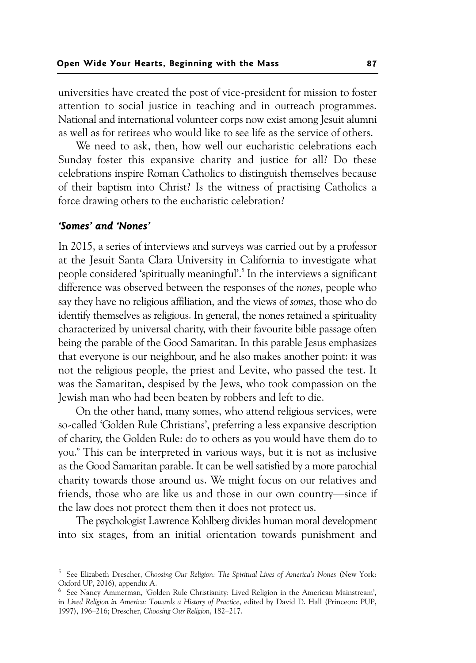universities have created the post of vice-president for mission to foster attention to social justice in teaching and in outreach programmes. National and international volunteer corps now exist among Jesuit alumni as well as for retirees who would like to see life as the service of others.

We need to ask, then, how well our eucharistic celebrations each Sunday foster this expansive charity and justice for all? Do these celebrations inspire Roman Catholics to distinguish themselves because of their baptism into Christ? Is the witness of practising Catholics a force drawing others to the eucharistic celebration?

# *'Somes' and 'Nones'*

In 2015, a series of interviews and surveys was carried out by a professor at the Jesuit Santa Clara University in California to investigate what people considered 'spiritually meaningful'.<sup>5</sup> In the interviews a significant difference was observed between the responses of the *nones*, people who say they have no religious affiliation, and the views of *somes*, those who do identify themselves as religious. In general, the nones retained a spirituality characterized by universal charity, with their favourite bible passage often being the parable of the Good Samaritan. In this parable Jesus emphasizes that everyone is our neighbour, and he also makes another point: it was not the religious people, the priest and Levite, who passed the test. It was the Samaritan, despised by the Jews, who took compassion on the Jewish man who had been beaten by robbers and left to die.

On the other hand, many somes, who attend religious services, were so-called 'Golden Rule Christians', preferring a less expansive description of charity, the Golden Rule: do to others as you would have them do to you.6 This can be interpreted in various ways, but it is not as inclusive as the Good Samaritan parable. It can be well satisfied by a more parochial charity towards those around us. We might focus on our relatives and friends, those who are like us and those in our own country—since if the law does not protect them then it does not protect us.

The psychologist Lawrence Kohlberg divides human moral development into six stages, from an initial orientation towards punishment and

<sup>5</sup> See Elizabeth Drescher, *Choosing Our Religion: The Spiritual Lives of America's Nones* (New York: Oxford UP, 2016), appendix A.

<sup>&</sup>lt;sup>6</sup> See Nancy Ammerman, 'Golden Rule Christianity: Lived Religion in the American Mainstream', in *Lived Religion in America: Towards a History of Practice*, edited by David D. Hall (Princeon: PUP, 1997), 196–216; Drescher, *Choosing Our Religion*, 182–217.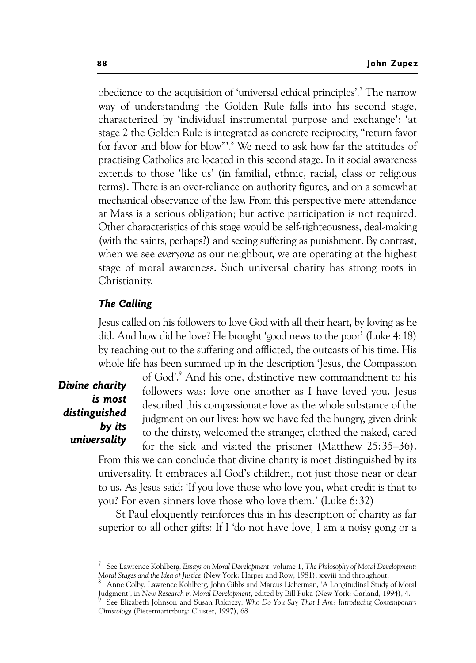obedience to the acquisition of 'universal ethical principles'.<sup>7</sup> The narrow way of understanding the Golden Rule falls into his second stage, characterized by 'individual instrumental purpose and exchange': 'at stage 2 the Golden Rule is integrated as concrete reciprocity, "return favor for favor and blow for blow"'.<sup>8</sup> We need to ask how far the attitudes of practising Catholics are located in this second stage. In it social awareness extends to those 'like us' (in familial, ethnic, racial, class or religious terms). There is an over-reliance on authority figures, and on a somewhat mechanical observance of the law. From this perspective mere attendance at Mass is a serious obligation; but active participation is not required. Other characteristics of this stage would be self-righteousness, deal-making (with the saints, perhaps?) and seeing suffering as punishment. By contrast, when we see *everyone* as our neighbour, we are operating at the highest stage of moral awareness. Such universal charity has strong roots in Christianity.

# *The Calling*

Jesus called on his followers to love God with all their heart, by loving as he did. And how did he love? He brought 'good news to the poor' (Luke 4:18) by reaching out to the suffering and afflicted, the outcasts of his time. His whole life has been summed up in the description 'Jesus, the Compassion

# *Divine charity is most distinguished by its universality*

of God'.9 And his one, distinctive new commandment to his followers was: love one another as I have loved you. Jesus described this compassionate love as the whole substance of the judgment on our lives: how we have fed the hungry, given drink to the thirsty, welcomed the stranger, clothed the naked, cared for the sick and visited the prisoner (Matthew 25:35–36).

From this we can conclude that divine charity is most distinguished by its universality. It embraces all God's children, not just those near or dear to us. As Jesus said: 'If you love those who love you, what credit is that to you? For even sinners love those who love them.' (Luke 6:32)

St Paul eloquently reinforces this in his description of charity as far superior to all other gifts: If I 'do not have love, I am a noisy gong or a

<sup>7</sup> See Lawrence Kohlberg, *Essays on Moral Development*, volume 1, *The Philosophy of Moral Development: Moral Stages and the Idea of Justice* (New York: Harper and Row, 1981), xxviii and throughout. 8

Anne Colby, Lawrence Kohlberg, John Gibbs and Marcus Lieberman, 'A Longitudinal Study of Moral Judgment', in *New Research in Moral Development*, edited by Bill Puka (New York: Garland, 1994), 4. 9

See Elizabeth Johnson and Susan Rakoczy, *Who Do You Say That I Am? Introducing Contemporary Christology* (Pietermaritzburg: Cluster, 1997), 68.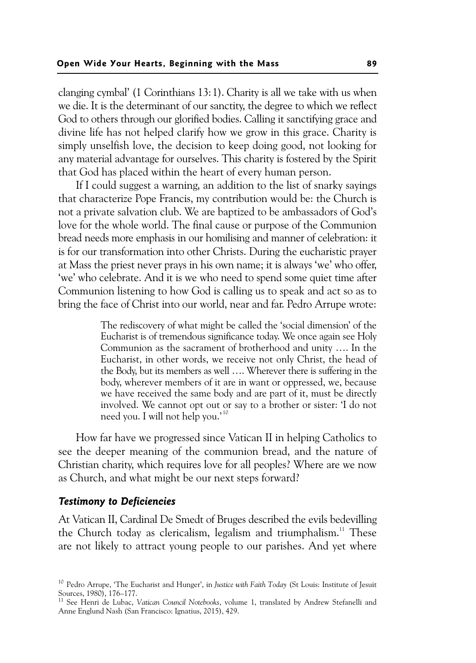clanging cymbal' (1 Corinthians 13:1). Charity is all we take with us when we die. It is the determinant of our sanctity, the degree to which we reflect God to others through our glorified bodies. Calling it sanctifying grace and divine life has not helped clarify how we grow in this grace. Charity is simply unselfish love, the decision to keep doing good, not looking for any material advantage for ourselves. This charity is fostered by the Spirit that God has placed within the heart of every human person.

If I could suggest a warning, an addition to the list of snarky sayings that characterize Pope Francis, my contribution would be: the Church is not a private salvation club. We are baptized to be ambassadors of God's love for the whole world. The final cause or purpose of the Communion bread needs more emphasis in our homilising and manner of celebration: it is for our transformation into other Christs. During the eucharistic prayer at Mass the priest never prays in his own name; it is always 'we' who offer, 'we' who celebrate. And it is we who need to spend some quiet time after Communion listening to how God is calling us to speak and act so as to bring the face of Christ into our world, near and far. Pedro Arrupe wrote:

> The rediscovery of what might be called the 'social dimension' of the Eucharist is of tremendous significance today. We once again see Holy Communion as the sacrament of brotherhood and unity …. In the Eucharist, in other words, we receive not only Christ, the head of the Body, but its members as well …. Wherever there is suffering in the body, wherever members of it are in want or oppressed, we, because we have received the same body and are part of it, must be directly involved. We cannot opt out or say to a brother or sister: 'I do not need you. I will not help you.' <sup>10</sup>

How far have we progressed since Vatican II in helping Catholics to see the deeper meaning of the communion bread, and the nature of Christian charity, which requires love for all peoples? Where are we now as Church, and what might be our next steps forward?

# *Testimony to Deficiencies*

At Vatican II, Cardinal De Smedt of Bruges described the evils bedevilling the Church today as clericalism, legalism and triumphalism.<sup>11</sup> These are not likely to attract young people to our parishes. And yet where

<sup>10</sup> Pedro Arrupe, 'The Eucharist and Hunger', in *Justice with Faith Today* (St Louis: Institute of Jesuit Sources, 1980), 176–177.

<sup>11</sup> See Henri de Lubac, *Vatican Council Notebooks*, volume 1, translated by Andrew Stefanelli and Anne Englund Nash (San Francisco: Ignatius, 2015), 429.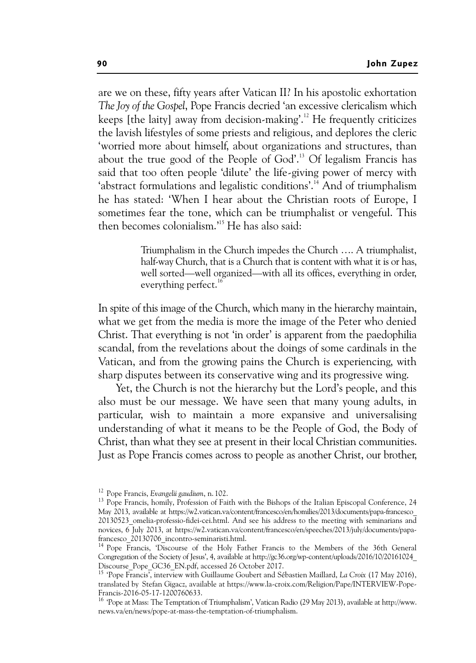are we on these, fifty years after Vatican II? In his apostolic exhortation *The Joy of the Gospel*, Pope Francis decried 'an excessive clericalism which keeps [the laity] away from decision-making'.12 He frequently criticizes the lavish lifestyles of some priests and religious, and deplores the cleric 'worried more about himself, about organizations and structures, than about the true good of the People of God'.<sup>13</sup> Of legalism Francis has said that too often people 'dilute' the life-giving power of mercy with 'abstract formulations and legalistic conditions'.<sup>14</sup> And of triumphalism he has stated: 'When I hear about the Christian roots of Europe, I sometimes fear the tone, which can be triumphalist or vengeful. This then becomes colonialism.'15 He has also said:

> Triumphalism in the Church impedes the Church …. A triumphalist, half-way Church, that is a Church that is content with what it is or has, well sorted—well organized—with all its offices, everything in order, everything perfect.<sup>16</sup>

In spite of this image of the Church, which many in the hierarchy maintain, what we get from the media is more the image of the Peter who denied Christ. That everything is not 'in order' is apparent from the paedophilia scandal, from the revelations about the doings of some cardinals in the Vatican, and from the growing pains the Church is experiencing, with sharp disputes between its conservative wing and its progressive wing.

Yet, the Church is not the hierarchy but the Lord's people, and this also must be our message. We have seen that many young adults, in particular, wish to maintain a more expansive and universalising understanding of what it means to be the People of God, the Body of Christ, than what they see at present in their local Christian communities. Just as Pope Francis comes across to people as another Christ, our brother,

<sup>&</sup>lt;sup>12</sup> Pope Francis, *Evangelii gaudium*, n. 102.<br><sup>13</sup> Pope Francis, homily, Profession of Faith with the Bishops of the Italian Episcopal Conference, 24 May 2013, available at https://w2.vatican.va/content/francesco/en/homilies/2013/documents/papa-francesco\_ 20130523 omelia-professio-fidei-cei.html. And see his address to the meeting with seminarians and novices, 6 July 2013, at https://w2.vatican.va/content/francesco/en/speeches/2013/july/documents/papafrancesco 20130706 incontro-seminaristi.html.

<sup>14</sup> Pope Francis, 'Discourse of the Holy Father Francis to the Members of the 36th General Congregation of the Society of Jesus', 4, available at http://gc36.org/wp-content/uploads/2016/10/20161024\_ Discourse\_Pope\_GC36\_EN.pdf, accessed 26 October 2017.

<sup>15 &#</sup>x27;Pope Francis', interview with Guillaume Goubert and Sébastien Maillard, *La Croix* (17 May 2016), translated by Stefan Gigacz, available at https://www.la-croix.com/Religion/Pape/INTERVIEW-Pope-Francis-2016-05-17-1200760633.

<sup>16 &#</sup>x27;Pope at Mass: The Temptation of Triumphalism', Vatican Radio (29 May 2013), available at http://www. news.va/en/news/pope-at-mass-the-temptation-of-triumphalism.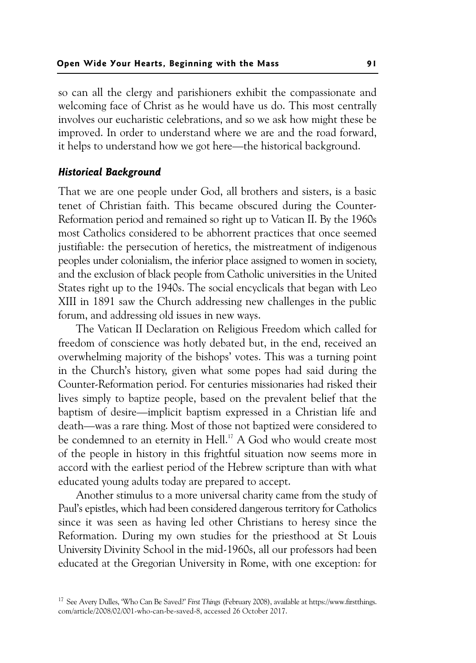so can all the clergy and parishioners exhibit the compassionate and welcoming face of Christ as he would have us do. This most centrally involves our eucharistic celebrations, and so we ask how might these be improved. In order to understand where we are and the road forward, it helps to understand how we got here—the historical background.

#### *Historical Background*

That we are one people under God, all brothers and sisters, is a basic tenet of Christian faith. This became obscured during the Counter-Reformation period and remained so right up to Vatican II. By the 1960s most Catholics considered to be abhorrent practices that once seemed justifiable: the persecution of heretics, the mistreatment of indigenous peoples under colonialism, the inferior place assigned to women in society, and the exclusion of black people from Catholic universities in the United States right up to the 1940s. The social encyclicals that began with Leo XIII in 1891 saw the Church addressing new challenges in the public forum, and addressing old issues in new ways.

The Vatican II Declaration on Religious Freedom which called for freedom of conscience was hotly debated but, in the end, received an overwhelming majority of the bishops' votes. This was a turning point in the Church's history, given what some popes had said during the Counter-Reformation period. For centuries missionaries had risked their lives simply to baptize people, based on the prevalent belief that the baptism of desire—implicit baptism expressed in a Christian life and death—was a rare thing. Most of those not baptized were considered to be condemned to an eternity in Hell.<sup>17</sup> A God who would create most of the people in history in this frightful situation now seems more in accord with the earliest period of the Hebrew scripture than with what educated young adults today are prepared to accept.

Another stimulus to a more universal charity came from the study of Paul's epistles, which had been considered dangerous territory for Catholics since it was seen as having led other Christians to heresy since the Reformation. During my own studies for the priesthood at St Louis University Divinity School in the mid-1960s, all our professors had been educated at the Gregorian University in Rome, with one exception: for

<sup>17</sup> See Avery Dulles, 'Who Can Be Saved?' *First Things* (February 2008), available at https://www.firstthings. com/article/2008/02/001-who-can-be-saved-8, accessed 26 October 2017.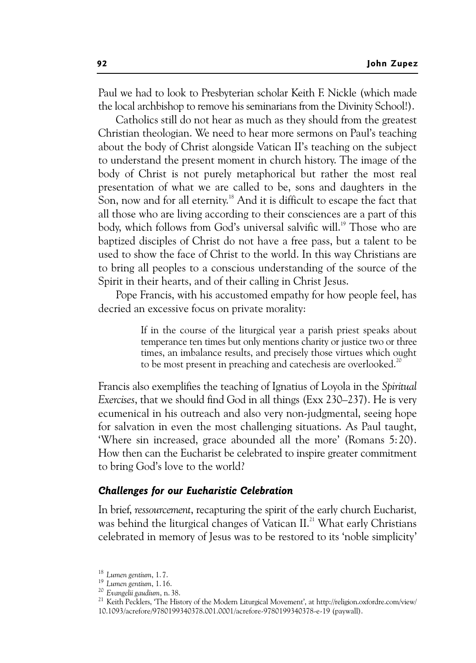Paul we had to look to Presbyterian scholar Keith F. Nickle (which made the local archbishop to remove his seminarians from the Divinity School!).

Catholics still do not hear as much as they should from the greatest Christian theologian. We need to hear more sermons on Paul's teaching about the body of Christ alongside Vatican II's teaching on the subject to understand the present moment in church history. The image of the body of Christ is not purely metaphorical but rather the most real presentation of what we are called to be, sons and daughters in the Son, now and for all eternity.<sup>18</sup> And it is difficult to escape the fact that all those who are living according to their consciences are a part of this body, which follows from God's universal salvific will.<sup>19</sup> Those who are baptized disciples of Christ do not have a free pass, but a talent to be used to show the face of Christ to the world. In this way Christians are to bring all peoples to a conscious understanding of the source of the Spirit in their hearts, and of their calling in Christ Jesus.

Pope Francis, with his accustomed empathy for how people feel, has decried an excessive focus on private morality:

> If in the course of the liturgical year a parish priest speaks about temperance ten times but only mentions charity or justice two or three times, an imbalance results, and precisely those virtues which ought to be most present in preaching and catechesis are overlooked.<sup>20</sup>

Francis also exemplifies the teaching of Ignatius of Loyola in the *Spiritual Exercises*, that we should find God in all things (Exx 230–237). He is very ecumenical in his outreach and also very non-judgmental, seeing hope for salvation in even the most challenging situations. As Paul taught, 'Where sin increased, grace abounded all the more' (Romans 5:20). How then can the Eucharist be celebrated to inspire greater commitment to bring God's love to the world?

#### *Challenges for our Eucharistic Celebration*

In brief, *ressourcement*, recapturing the spirit of the early church Eucharist*,* was behind the liturgical changes of Vatican II.<sup>21</sup> What early Christians celebrated in memory of Jesus was to be restored to its 'noble simplicity'

<sup>&</sup>lt;sup>18</sup> *Lumen gentium*, 1. 7.<br><sup>19</sup> *Lumen gentium*, 1. 16.<br><sup>20</sup> *Evangelii gaudium*, n. 38.<br><sup>21</sup> Keith Pecklers, 'The History of the Modern Liturgical Movement', at http://religion.oxfordre.com/view/ 10.1093/acrefore/9780199340378.001.0001/acrefore-9780199340378-e-19 (paywall).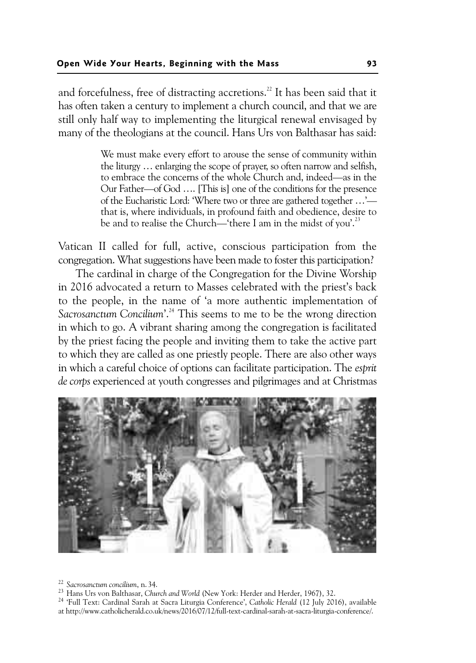and forcefulness, free of distracting accretions.<sup>22</sup> It has been said that it has often taken a century to implement a church council, and that we are still only half way to implementing the liturgical renewal envisaged by many of the theologians at the council. Hans Urs von Balthasar has said:

> We must make every effort to arouse the sense of community within the liturgy … enlarging the scope of prayer, so often narrow and selfish, to embrace the concerns of the whole Church and, indeed—as in the Our Father—of God …. [This is] one of the conditions for the presence of the Eucharistic Lord: 'Where two or three are gathered together …' that is, where individuals, in profound faith and obedience, desire to be and to realise the Church—'there I am in the midst of you'.<sup>23</sup>

Vatican II called for full, active, conscious participation from the congregation. What suggestions have been made to foster this participation?

The cardinal in charge of the Congregation for the Divine Worship in 2016 advocated a return to Masses celebrated with the priest's back to the people, in the name of 'a more authentic implementation of *Sacrosanctum Concilium*'.24 This seems to me to be the wrong direction in which to go. A vibrant sharing among the congregation is facilitated by the priest facing the people and inviting them to take the active part to which they are called as one priestly people. There are also other ways in which a careful choice of options can facilitate participation. The *esprit de corps* experienced at youth congresses and pilgrimages and at Christmas



<sup>&</sup>lt;sup>22</sup> Sacrosanctum concilium, n. 34.<br><sup>23</sup> Hans Urs von Balthasar, Church and World (New York: Herder and Herder, 1967), 32.<br><sup>24</sup> 'Full Text: Cardinal Sarah at Sacra Liturgia Conference', Catholic Herald (12 July 2016), avai at http://www.catholicherald.co.uk/news/2016/07/12/full-text-cardinal-sarah-at-sacra-liturgia-conference/.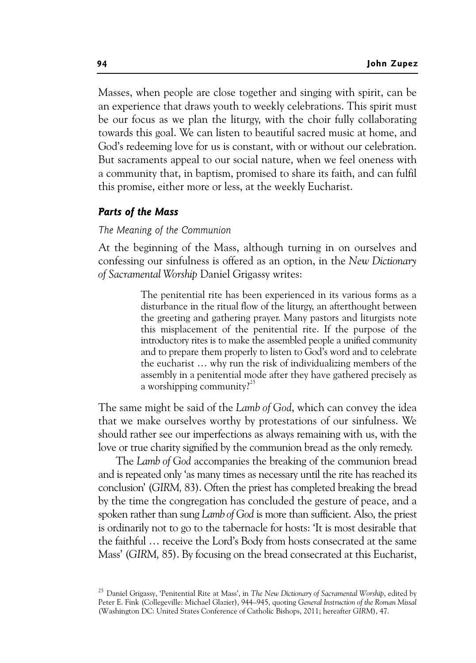Masses, when people are close together and singing with spirit, can be an experience that draws youth to weekly celebrations. This spirit must be our focus as we plan the liturgy, with the choir fully collaborating towards this goal. We can listen to beautiful sacred music at home, and God's redeeming love for us is constant, with or without our celebration. But sacraments appeal to our social nature, when we feel oneness with a community that, in baptism, promised to share its faith, and can fulfil this promise, either more or less, at the weekly Eucharist.

## *Parts of the Mass*

#### *The Meaning of the Communion*

At the beginning of the Mass, although turning in on ourselves and confessing our sinfulness is offered as an option, in the *New Dictionary of Sacramental Worship* Daniel Grigassy writes:

> The penitential rite has been experienced in its various forms as a disturbance in the ritual flow of the liturgy, an afterthought between the greeting and gathering prayer. Many pastors and liturgists note this misplacement of the penitential rite. If the purpose of the introductory rites is to make the assembled people a unified community and to prepare them properly to listen to God's word and to celebrate the eucharist … why run the risk of individualizing members of the assembly in a penitential mode after they have gathered precisely as a worshipping community?<sup>25</sup>

The same might be said of the *Lamb of God*, which can convey the idea that we make ourselves worthy by protestations of our sinfulness. We should rather see our imperfections as always remaining with us, with the love or true charity signified by the communion bread as the only remedy.

The *Lamb of God* accompanies the breaking of the communion bread and is repeated only 'as many times as necessary until the rite has reached its conclusion' (*GIRM,* 83). Often the priest has completed breaking the bread by the time the congregation has concluded the gesture of peace, and a spoken rather than sung *Lamb of God* is more than sufficient. Also, the priest is ordinarily not to go to the tabernacle for hosts: 'It is most desirable that the faithful … receive the Lord's Body from hosts consecrated at the same Mass' (*GIRM,* 85). By focusing on the bread consecrated at this Eucharist,

<sup>25</sup> Daniel Grigassy, 'Penitential Rite at Mass', in *The New Dictionary of Sacramental Worship*, edited by Peter E. Fink (Collegeville: Michael Glazier), 944–945, quoting *General Instruction of the Roman Missal* (Washington DC: United States Conference of Catholic Bishops, 2011; hereafter *GIRM*), 47.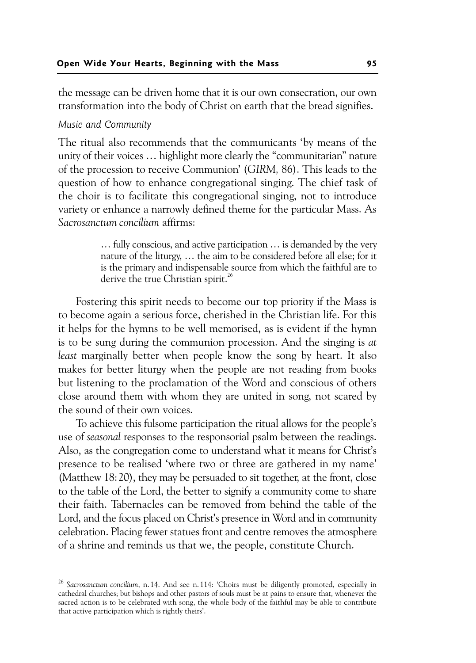the message can be driven home that it is our own consecration, our own transformation into the body of Christ on earth that the bread signifies.

#### *Music and Community*

The ritual also recommends that the communicants 'by means of the unity of their voices … highlight more clearly the "communitarian" nature of the procession to receive Communion' (*GIRM,* 86). This leads to the question of how to enhance congregational singing. The chief task of the choir is to facilitate this congregational singing, not to introduce variety or enhance a narrowly defined theme for the particular Mass. As *Sacrosanctum concilium* affirms:

> … fully conscious, and active participation … is demanded by the very nature of the liturgy, … the aim to be considered before all else; for it is the primary and indispensable source from which the faithful are to derive the true Christian spirit.<sup>26</sup>

Fostering this spirit needs to become our top priority if the Mass is to become again a serious force, cherished in the Christian life. For this it helps for the hymns to be well memorised, as is evident if the hymn is to be sung during the communion procession. And the singing is *at least* marginally better when people know the song by heart. It also makes for better liturgy when the people are not reading from books but listening to the proclamation of the Word and conscious of others close around them with whom they are united in song, not scared by the sound of their own voices.

To achieve this fulsome participation the ritual allows for the people's use of *seasonal* responses to the responsorial psalm between the readings. Also, as the congregation come to understand what it means for Christ's presence to be realised 'where two or three are gathered in my name' (Matthew 18:20), they may be persuaded to sit together, at the front, close to the table of the Lord, the better to signify a community come to share their faith. Tabernacles can be removed from behind the table of the Lord, and the focus placed on Christ's presence in Word and in community celebration. Placing fewer statues front and centre removes the atmosphere of a shrine and reminds us that we, the people, constitute Church.

<sup>26</sup> *Sacrosanctum concilium*, n. 14. And see n. 114: 'Choirs must be diligently promoted, especially in cathedral churches; but bishops and other pastors of souls must be at pains to ensure that, whenever the sacred action is to be celebrated with song, the whole body of the faithful may be able to contribute that active participation which is rightly theirs'.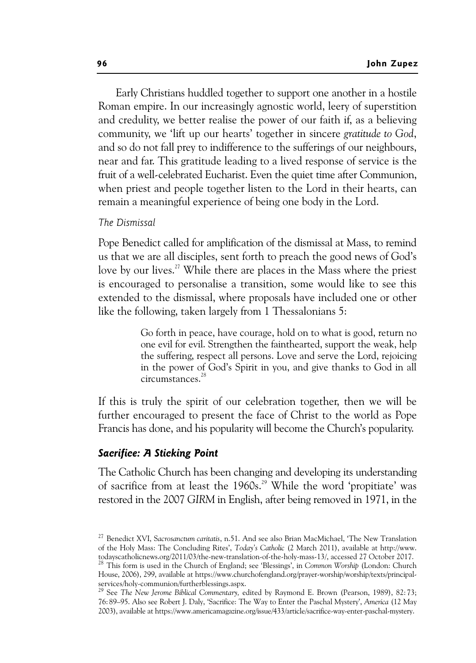Early Christians huddled together to support one another in a hostile Roman empire. In our increasingly agnostic world, leery of superstition and credulity, we better realise the power of our faith if, as a believing community, we 'lift up our hearts' together in sincere *gratitude to God*, and so do not fall prey to indifference to the sufferings of our neighbours, near and far. This gratitude leading to a lived response of service is the fruit of a well-celebrated Eucharist. Even the quiet time after Communion, when priest and people together listen to the Lord in their hearts, can remain a meaningful experience of being one body in the Lord.

# *The Dismissal*

Pope Benedict called for amplification of the dismissal at Mass, to remind us that we are all disciples, sent forth to preach the good news of God's love by our lives.<sup>27</sup> While there are places in the Mass where the priest is encouraged to personalise a transition, some would like to see this extended to the dismissal, where proposals have included one or other like the following, taken largely from 1 Thessalonians 5:

> Go forth in peace, have courage, hold on to what is good, return no one evil for evil. Strengthen the fainthearted, support the weak, help the suffering, respect all persons. Love and serve the Lord, rejoicing in the power of God's Spirit in you, and give thanks to God in all circumstances.<sup>28</sup>

If this is truly the spirit of our celebration together, then we will be further encouraged to present the face of Christ to the world as Pope Francis has done, and his popularity will become the Church's popularity.

#### *Sacrifice: A Sticking Point*

The Catholic Church has been changing and developing its understanding of sacrifice from at least the 1960s.<sup>29</sup> While the word 'propitiate' was restored in the 2007 *GIRM* in English, after being removed in 1971, in the

<sup>27</sup> Benedict XVI, S*acrosanctum caritatis*, n.51. And see also Brian MacMichael, 'The New Translation of the Holy Mass: The Concluding Rites', *Today's Catholic* (2 March 2011), available at http://www.

<sup>&</sup>lt;sup>28</sup> This form is used in the Church of England; see 'Blessings', in *Common Worship* (London: Church House, 2006), 299, available at https://www.churchofengland.org/prayer-worship/worship/texts/principalservices/holy-communion/furtherblessings.aspx. 29 See *The New Jerome Biblical Commentary,* edited by Raymond E. Brown (Pearson, 1989), 82: 73;

<sup>76: 89–95.</sup> Also see Robert J. Daly, 'Sacrifice: The Way to Enter the Paschal Mystery', *America* (12 May 2003), available at https://www.americamagazine.org/issue/433/article/sacrifice-way-enter-paschal-mystery.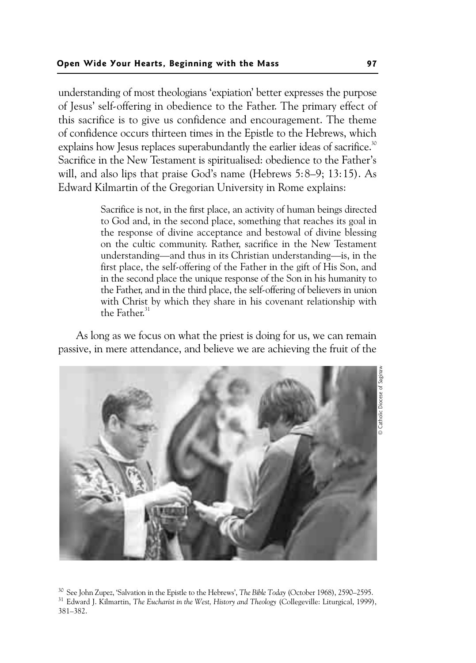understanding of most theologians 'expiation' better expresses the purpose of Jesus' self-offering in obedience to the Father. The primary effect of this sacrifice is to give us confidence and encouragement. The theme of confidence occurs thirteen times in the Epistle to the Hebrews, which explains how Jesus replaces superabundantly the earlier ideas of sacrifice.<sup>30</sup> Sacrifice in the New Testament is spiritualised: obedience to the Father's will, and also lips that praise God's name (Hebrews 5:8–9; 13:15). As Edward Kilmartin of the Gregorian University in Rome explains:

> Sacrifice is not, in the first place, an activity of human beings directed to God and, in the second place, something that reaches its goal in the response of divine acceptance and bestowal of divine blessing on the cultic community. Rather, sacrifice in the New Testament understanding—and thus in its Christian understanding—is, in the first place, the self-offering of the Father in the gift of His Son, and in the second place the unique response of the Son in his humanity to the Father, and in the third place, the self-offering of believers in union with Christ by which they share in his covenant relationship with the Father.<sup>31</sup>

As long as we focus on what the priest is doing for us, we can remain passive, in mere attendance, and believe we are achieving the fruit of the



30 See John Zupez, 'Salvation in the Epistle to the Hebrews', *The Bible Today* (October 1968), 2590–2595. 31 Edward J. Kilmartin, *The Eucharist in the West, History and Theology* (Collegeville: Liturgical, 1999), 381–382.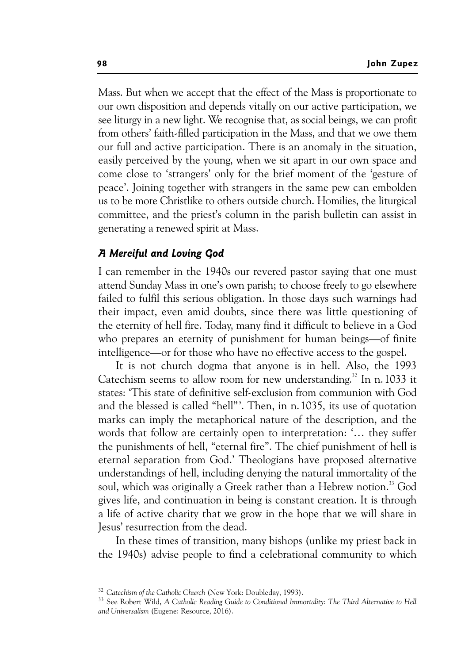Mass. But when we accept that the effect of the Mass is proportionate to our own disposition and depends vitally on our active participation, we see liturgy in a new light. We recognise that, as social beings, we can profit from others' faith-filled participation in the Mass, and that we owe them our full and active participation. There is an anomaly in the situation, easily perceived by the young, when we sit apart in our own space and come close to 'strangers' only for the brief moment of the 'gesture of peace'. Joining together with strangers in the same pew can embolden us to be more Christlike to others outside church. Homilies, the liturgical committee, and the priest's column in the parish bulletin can assist in generating a renewed spirit at Mass.

# *A Merciful and Loving God*

I can remember in the 1940s our revered pastor saying that one must attend Sunday Mass in one's own parish; to choose freely to go elsewhere failed to fulfil this serious obligation. In those days such warnings had their impact, even amid doubts, since there was little questioning of the eternity of hell fire. Today, many find it difficult to believe in a God who prepares an eternity of punishment for human beings—of finite intelligence—or for those who have no effective access to the gospel.

It is not church dogma that anyone is in hell. Also, the 1993 Catechism seems to allow room for new understanding.<sup>32</sup> In n. 1033 it states: 'This state of definitive self-exclusion from communion with God and the blessed is called "hell"'. Then, in n.1035, its use of quotation marks can imply the metaphorical nature of the description, and the words that follow are certainly open to interpretation: '… they suffer the punishments of hell, "eternal fire". The chief punishment of hell is eternal separation from God.' Theologians have proposed alternative understandings of hell, including denying the natural immortality of the soul, which was originally a Greek rather than a Hebrew notion.<sup>33</sup> God gives life, and continuation in being is constant creation. It is through a life of active charity that we grow in the hope that we will share in Jesus' resurrection from the dead.

In these times of transition, many bishops (unlike my priest back in the 1940s) advise people to find a celebrational community to which

<sup>&</sup>lt;sup>32</sup> Catechism of the Catholic Church (New York: Doubleday, 1993).<br><sup>33</sup> See Robert Wild, *A Catholic Reading Guide to Conditional Immortality: The Third Alternative to Hell and Universalism* (Eugene: Resource, 2016).